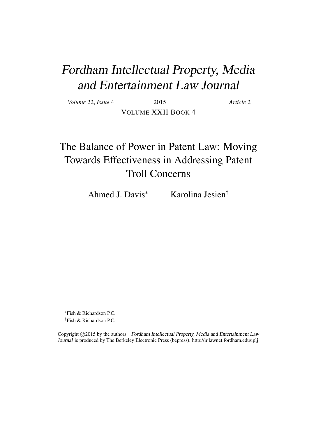# Fordham Intellectual Property, Media and Entertainment Law Journal

| Volume 22, Issue 4 | 2015                      | Article 2 |
|--------------------|---------------------------|-----------|
|                    | <b>VOLUME XXII BOOK 4</b> |           |

## The Balance of Power in Patent Law: Moving Towards Effectiveness in Addressing Patent Troll Concerns

Ahmed J. Davis<sup>∗</sup> Karolina Jesien†

<sup>∗</sup>Fish & Richardson P.C. †Fish & Richardson P.C.

Copyright ©2015 by the authors. Fordham Intellectual Property, Media and Entertainment Law Journal is produced by The Berkeley Electronic Press (bepress). http://ir.lawnet.fordham.edu/iplj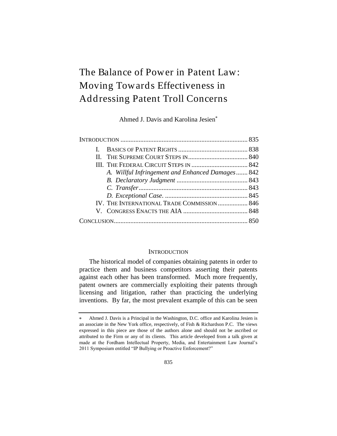### The Balance of Power in Patent Law: Moving Towards Effectiveness in Addressing Patent Troll Concerns

Ahmed J. Davis and Karolina Jesien

| A. Willful Infringement and Enhanced Damages 842 |  |
|--------------------------------------------------|--|
|                                                  |  |
|                                                  |  |
|                                                  |  |
| IV. THE INTERNATIONAL TRADE COMMISSION  846      |  |
|                                                  |  |
|                                                  |  |

#### **INTRODUCTION**

The historical model of companies obtaining patents in order to practice them and business competitors asserting their patents against each other has been transformed. Much more frequently, patent owners are commercially exploiting their patents through licensing and litigation, rather than practicing the underlying inventions. By far, the most prevalent example of this can be seen

Ahmed J. Davis is a Principal in the Washington, D.C. office and Karolina Jesien is an associate in the New York office, respectively, of Fish & Richardson P.C. The views expressed in this piece are those of the authors alone and should not be ascribed or attributed to the Firm or any of its clients. This article developed from a talk given at made at the Fordham Intellectual Property, Media, and Entertainment Law Journal's 2011 Symposium entitled "IP Bullying or Proactive Enforcement?"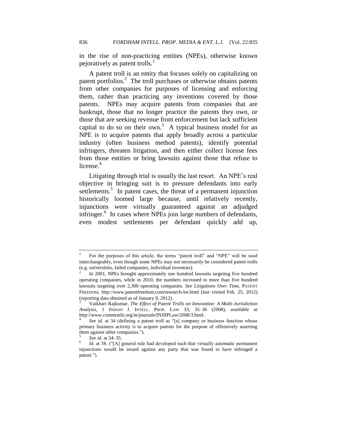in the rise of non-practicing entities (NPEs), otherwise known pejoratively as patent trolls. $<sup>1</sup>$ </sup>

A patent troll is an entity that focuses solely on capitalizing on patent portfolios.<sup>2</sup> The troll purchases or otherwise obtains patents from other companies for purposes of licensing and enforcing them, rather than practicing any inventions covered by those patents. NPEs may acquire patents from companies that are bankrupt, those that no longer practice the patents they own, or those that are seeking revenue from enforcement but lack sufficient capital to do so on their own.<sup>3</sup> A typical business model for an NPE is to acquire patents that apply broadly across a particular industry (often business method patents), identify potential infringers, threaten litigation, and then either collect license fees from those entities or bring lawsuits against those that refuse to license. $4$ 

Litigating through trial is usually the last resort. An NPE's real objective in bringing suit is to pressure defendants into early settlements.<sup>5</sup> In patent cases, the threat of a permanent injunction historically loomed large because, until relatively recently, injunctions were virtually guaranteed against an adjudged infringer.<sup>6</sup> In cases where NPEs join large numbers of defendants, even modest settlements per defendant quickly add up,

<sup>1</sup> For the purposes of this article, the terms "patent troll" and "NPE" will be used interchangeably, even though some NPEs may not necessarily be considered patent trolls (e.g. universities, failed companies, individual inventors).

<sup>2</sup> In 2001, NPEs brought approximately one hundred lawsuits targeting five hundred operating companies, while in 2010, the numbers increased to more than five hundred lawsuits targeting over 2,300 operating companies. *See Litigations Over Time*, PATENT FREEDOM, http://www.patentfreedom.com/research-lot.html (last visited Feb. 25, 2012) (reporting data obtained as of January 9, 2012).

<sup>3</sup> Vaikhari Rajkumar, *The Effect of Patent Trolls on Innovation: A Multi-Jurisdiction Analysis*, 1 INDIAN J. INTELL. PROP. LAW 33, 35–36 (2008), *available at* http://www.commonlii.org/in/journals/INJlIPLaw/2008/3.html.

<sup>4</sup> *See id.* at 34 (defining a patent troll as "[a] company or business function whose primary business activity is to acquire patents for the purpose of offensively asserting them against other companies.").

<sup>5</sup> *See id.* at 34–35.

<sup>6</sup> *Id.* at 38. ("[A] general rule had developed such that virtually automatic permanent injunctions would be issued against any party that was found to have infringed a patent.").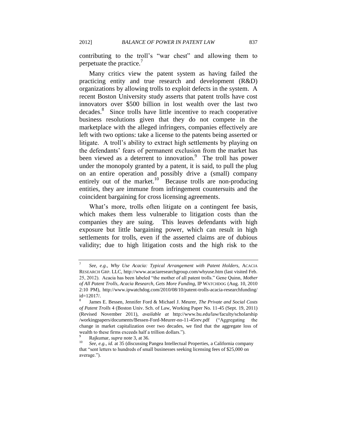contributing to the troll's "war chest" and allowing them to perpetuate the practice.<sup>7</sup>

Many critics view the patent system as having failed the practicing entity and true research and development (R&D) organizations by allowing trolls to exploit defects in the system. A recent Boston University study asserts that patent trolls have cost innovators over \$500 billion in lost wealth over the last two decades.<sup>8</sup> Since trolls have little incentive to reach cooperative business resolutions given that they do not compete in the marketplace with the alleged infringers, companies effectively are left with two options: take a license to the patents being asserted or litigate. A troll's ability to extract high settlements by playing on the defendants' fears of permanent exclusion from the market has been viewed as a deterrent to innovation.<sup>9</sup> The troll has power under the monopoly granted by a patent, it is said, to pull the plug on an entire operation and possibly drive a (small) company entirely out of the market. $10$  Because trolls are non-producing entities, they are immune from infringement countersuits and the coincident bargaining for cross licensing agreements.

What's more, trolls often litigate on a contingent fee basis, which makes them less vulnerable to litigation costs than the companies they are suing. This leaves defendants with high exposure but little bargaining power, which can result in high settlements for trolls, even if the asserted claims are of dubious validity; due to high litigation costs and the high risk to the

<sup>7</sup> *See, e.g.*, *Why Use Acacia: Typical Arrangement with Patent Holders*, ACACIA RESEARCH GRP. LLC, http://www.acaciaresearchgroup.com/whyuse.htm (last visited Feb. 25, 2012). Acacia has been labeled "the mother of all patent trolls." Gene Quinn, *Mother of All Patent Trolls, Acacia Research, Gets More Funding*, IP WATCHDOG (Aug. 10, 2010 2:10 PM), http://www.ipwatchdog.com/2010/08/10/patent-trolls-acacia-researchfunding/ id=12017/.

<sup>8</sup> James E. Bessen, Jennifer Ford & Michael J. Meurer, *The Private and Social Costs of Patent Trolls* 4 (Boston Univ. Sch. of Law, Working Paper No. 11-45 (Sept. 19, 2011) (Revised November 2011), *available at* http://www.bu.edu/law/faculty/scholarship /workingpapers/documents/Bessen-Ford-Meurer-no-11-45rev.pdf ("Aggregating the change in market capitalization over two decades, we find that the aggregate loss of wealth to these firms exceeds half a trillion dollars.").

 $^{9}$  Rajkumar, *supra* note 3, at 36.

<sup>10</sup> *See, e.g.*, *id.* at 35 (discussing Pangea Intellectual Properties, a California company that "sent letters to hundreds of small businesses seeking licensing fees of \$25,000 on average.").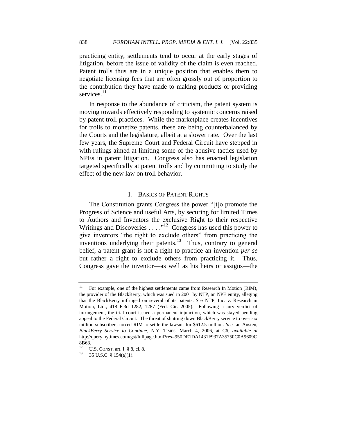practicing entity, settlements tend to occur at the early stages of litigation, before the issue of validity of the claim is even reached. Patent trolls thus are in a unique position that enables them to negotiate licensing fees that are often grossly out of proportion to the contribution they have made to making products or providing services.<sup>11</sup>

In response to the abundance of criticism, the patent system is moving towards effectively responding to systemic concerns raised by patent troll practices. While the marketplace creates incentives for trolls to monetize patents, these are being counterbalanced by the Courts and the legislature, albeit at a slower rate. Over the last few years, the Supreme Court and Federal Circuit have stepped in with rulings aimed at limiting some of the abusive tactics used by NPEs in patent litigation. Congress also has enacted legislation targeted specifically at patent trolls and by committing to study the effect of the new law on troll behavior.

#### I. BASICS OF PATENT RIGHTS

The Constitution grants Congress the power "[t]o promote the Progress of Science and useful Arts, by securing for limited Times to Authors and Inventors the exclusive Right to their respective Writings and Discoveries . . . . "<sup>12</sup> Congress has used this power to give inventors "the right to exclude others" from practicing the inventions underlying their patents.<sup>13</sup> Thus, contrary to general belief, a patent grant is not a right to practice an invention *per se* but rather a right to exclude others from practicing it. Thus, Congress gave the inventor—as well as his heirs or assigns—the

<sup>&</sup>lt;sup>11</sup> For example, one of the highest settlements came from Research In Motion (RIM), the provider of the BlackBerry, which was sued in 2001 by NTP, an NPE entity, alleging that the BlackBerry infringed on several of its patents. *See* NTP, Inc. v. Research in Motion, Ltd., 418 F.3d 1282, 1287 (Fed. Cir. 2005). Following a jury verdict of infringement, the trial court issued a permanent injunction, which was stayed pending appeal to the Federal Circuit. The threat of shutting down BlackBerry service to over six million subscribers forced RIM to settle the lawsuit for \$612.5 million. *See* Ian Austen, *BlackBerry Service to Continue*, N.Y. TIMES, March 4, 2006, at C6, *available at* http://query.nytimes.com/gst/fullpage.html?res=950DE1DA1431F937A35750C0A9609C 8B63.

<sup>12</sup> U.S. CONST. art. I, § 8, cl. 8.

 $13$  35 U.S.C. § 154(a)(1).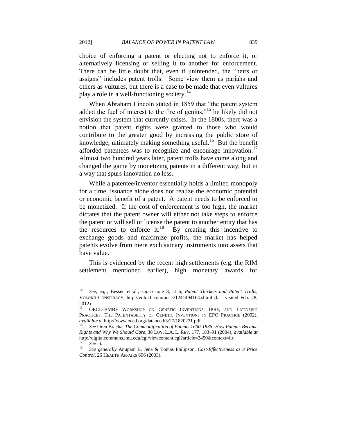choice of enforcing a patent or electing not to enforce it, or alternatively licensing or selling it to another for enforcement. There can be little doubt that, even if unintended, the "heirs or assigns" includes patent trolls. Some view them as pariahs and others as vultures, but there is a case to be made that even vultures play a role in a well-functioning society.<sup>14</sup>

When Abraham Lincoln stated in 1859 that "the patent system added the fuel of interest to the fire of genius,"<sup>15</sup> he likely did not envision the system that currently exists. In the 1800s, there was a notion that patent rights were granted to those who would contribute to the greater good by increasing the public store of knowledge, ultimately making something useful.<sup>16</sup> But the benefit afforded patentees was to recognize and encourage innovation.<sup>17</sup> Almost two hundred years later, patent trolls have come along and changed the game by monetizing patents in a different way, but in a way that spurs innovation no less.

While a patentee/inventor essentially holds a limited monopoly for a time, issuance alone does not realize the economic potential or economic benefit of a patent. A patent needs to be enforced to be monetized. If the cost of enforcement is too high, the market dictates that the patent owner will either not take steps to enforce the patent or will sell or license the patent to another entity that has the resources to enforce it.<sup>18</sup> By creating this incentive to exchange goods and maximize profits, the market has helped patents evolve from mere exclusionary instruments into assets that have value.

This is evidenced by the recent high settlements (e.g. the RIM settlement mentioned earlier), high monetary awards for

<sup>14</sup> *See, e.g.*, Bessen et al., *supra* note 8, at 6; *Patent Thickets and Patent Trolls*, VOLOKH CONSPIRACY, http://volokh.com/posts/1241494164.shtml (last visited Feb. 28, 2012).

OECD-BMBF WORKSHOP ON GENETIC INVENTIONS, IPRS, AND LICENSING PRACTICES, THE PATENTABILITY OF GENETIC INVENTIONS IN EPO PRACTICE (2002), *available at* http://www.oecd.org/dataoecd/3/27/1820221.pdf

<sup>16</sup> *See* Oren Bracha, *The Commodification of Patents 1600-1836: How Patents Became Rights and Why We Should Care*, 38 LOY. L.A. L. REV. 177, 183–91 (2004), *available at* http://digitalcommons.lmu.edu/cgi/viewcontent.cgi?article=2450&context=llr.  $\frac{17}{18}$  *See id.* 

<sup>18</sup> *See generally* Anupam B. Jena & Tomas Philipson, *Cost-Effectiveness as a Price Control*, 26 HEALTH AFFAIRS 696 (2003).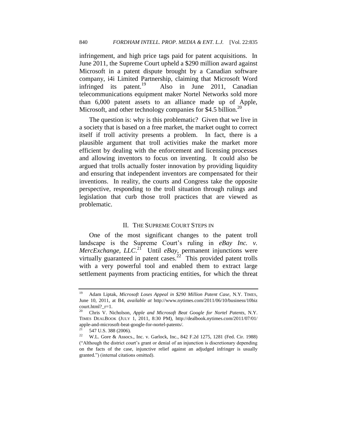infringement, and high price tags paid for patent acquisitions. In June 2011, the Supreme Court upheld a \$290 million award against Microsoft in a patent dispute brought by a Canadian software company, i4i Limited Partnership, claiming that Microsoft Word infringed its patent.<sup>19</sup> Also in June 2011, Canadian telecommunications equipment maker Nortel Networks sold more than 6,000 patent assets to an alliance made up of Apple, Microsoft, and other technology companies for \$4.5 billion.<sup>20</sup>

The question is: why is this problematic? Given that we live in a society that is based on a free market, the market ought to correct itself if troll activity presents a problem. In fact, there is a plausible argument that troll activities make the market more efficient by dealing with the enforcement and licensing processes and allowing inventors to focus on inventing. It could also be argued that trolls actually foster innovation by providing liquidity and ensuring that independent inventors are compensated for their inventions. In reality, the courts and Congress take the opposite perspective, responding to the troll situation through rulings and legislation that curb those troll practices that are viewed as problematic.

#### II. THE SUPREME COURT STEPS IN

One of the most significant changes to the patent troll landscape is the Supreme Court's ruling in *eBay Inc. v. MercExchange, LLC*.<sup>21</sup> Until *eBay*, permanent injunctions were virtually guaranteed in patent cases.<sup>22</sup> This provided patent trolls with a very powerful tool and enabled them to extract large settlement payments from practicing entities, for which the threat

<sup>19</sup> Adam Liptak, *Microsoft Loses Appeal in \$290 Million Patent Case*, N.Y. TIMES, June 10, 2011, at B4, *available at* http://www.nytimes.com/2011/06/10/business/10biz court.html?\_r=1.

<sup>20</sup> Chris V. Nicholson, *Apple and Microsoft Beat Google for Nortel Patents*, N.Y. TIMES DEALBOOK (JULY 1, 2011, 8:30 PM), http://dealbook.nytimes.com/2011/07/01/ apple-and-microsoft-beat-google-for-nortel-patents/.

 $\frac{21}{22}$  547 U.S. 388 (2006).

<sup>22</sup> W.L. Gore & Assocs., Inc. v. Garlock, Inc., 842 F.2d 1275, 1281 (Fed. Cir. 1988) (―Although the district court's grant or denial of an injunction is discretionary depending on the facts of the case, injunctive relief against an adjudged infringer is usually granted.‖) (internal citations omitted).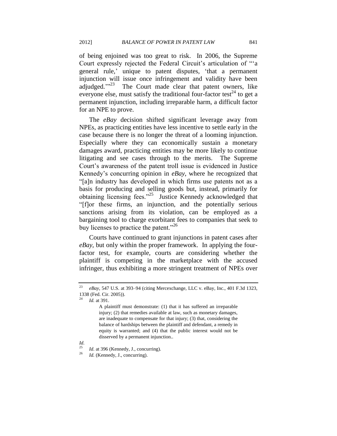of being enjoined was too great to risk. In 2006, the Supreme Court expressly rejected the Federal Circuit's articulation of "'a general rule,' unique to patent disputes, 'that a permanent injunction will issue once infringement and validity have been adjudged."<sup>23</sup> The Court made clear that patent owners, like everyone else, must satisfy the traditional four-factor test<sup>24</sup> to get a permanent injunction, including irreparable harm, a difficult factor for an NPE to prove.

The *eBay* decision shifted significant leverage away from NPEs, as practicing entities have less incentive to settle early in the case because there is no longer the threat of a looming injunction. Especially where they can economically sustain a monetary damages award, practicing entities may be more likely to continue litigating and see cases through to the merits. The Supreme Court's awareness of the patent troll issue is evidenced in Justice Kennedy's concurring opinion in *eBay*, where he recognized that ―[a]n industry has developed in which firms use patents not as a basis for producing and selling goods but, instead, primarily for obtaining licensing fees."<sup>25</sup> Justice Kennedy acknowledged that ―[f]or these firms, an injunction, and the potentially serious sanctions arising from its violation, can be employed as a bargaining tool to charge exorbitant fees to companies that seek to buy licenses to practice the patent."<sup>26</sup>

Courts have continued to grant injunctions in patent cases after *eBay*, but only within the proper framework. In applying the fourfactor test, for example, courts are considering whether the plaintiff is competing in the marketplace with the accused infringer, thus exhibiting a more stringent treatment of NPEs over

<sup>23</sup> *eBay*, 547 U.S. at 393–94 (citing Mercexchange, LLC v. eBay, Inc., 401 F.3d 1323, 1338 (Fed. Cir. 2005)).

*Id.* at 391.

A plaintiff must demonstrate: (1) that it has suffered an irreparable injury; (2) that remedies available at law, such as monetary damages, are inadequate to compensate for that injury; (3) that, considering the balance of hardships between the plaintiff and defendant, a remedy in equity is warranted; and (4) that the public interest would not be disserved by a permanent injunction..

*Id.*

<sup>&</sup>lt;sup>25</sup> *Id.* at 396 (Kennedy, J., concurring).<br><sup>26</sup> *Id.* (Kennedy, J. concurring).

Id. (Kennedy, J., concurring).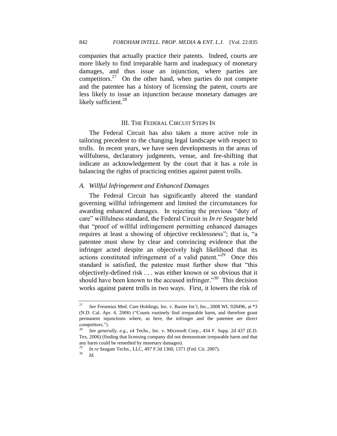companies that actually practice their patents. Indeed, courts are more likely to find irreparable harm and inadequacy of monetary damages, and thus issue an injunction, where parties are competitors. $27$  On the other hand, when parties do not compete and the patentee has a history of licensing the patent, courts are less likely to issue an injunction because monetary damages are likely sufficient.<sup>28</sup>

#### III. THE FEDERAL CIRCUIT STEPS IN

The Federal Circuit has also taken a more active role in tailoring precedent to the changing legal landscape with respect to trolls. In recent years, we have seen developments in the areas of willfulness, declaratory judgments, venue, and fee-shifting that indicate an acknowledgement by the court that it has a role in balancing the rights of practicing entities against patent trolls.

#### *A. Willful Infringement and Enhanced Damages*

The Federal Circuit has significantly altered the standard governing willful infringement and limited the circumstances for awarding enhanced damages. In rejecting the previous "duty of care" willfulness standard, the Federal Circuit in *In re Seagate* held that "proof of willful infringement permitting enhanced damages requires at least a showing of objective recklessness"; that is, "a patentee must show by clear and convincing evidence that the infringer acted despite an objectively high likelihood that its actions constituted infringement of a valid patent."<sup>29</sup> Once this standard is satisfied, the patentee must further show that "this objectively-defined risk . . . was either known or so obvious that it should have been known to the accused infringer.<sup>30</sup> This decision works against patent trolls in two ways. First, it lowers the risk of

<sup>27</sup> *See* Fresenius Med. Care Holdings, Inc. v. Baxter Int'l, Inc., 2008 WL 928496, at \*3 (N.D. Cal. Apr. 4, 2008) ("Courts routinely find irreparable harm, and therefore grant permanent injunctions where, as here, the infringer and the patentee are direct competitors.").

<sup>28</sup> *See generally, e.g.*, z4 Techs., Inc. v. Microsoft Corp., 434 F. Supp. 2d 437 (E.D. Tex. 2006) (finding that licensing company did not demonstrate irreparable harm and that any harm could be remedied by monetary damages).

<sup>&</sup>lt;sup>29</sup> *In re* Seagate Techn., LLC, 497 F.3d 1360, 1371 (Fed. Cir. 2007).

<sup>30</sup> *Id.*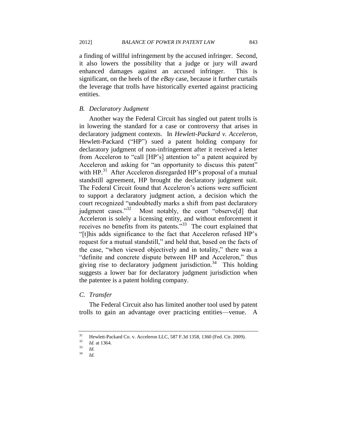a finding of willful infringement by the accused infringer. Second, it also lowers the possibility that a judge or jury will award enhanced damages against an accused infringer. This is significant, on the heels of the *eBay* case, because it further curtails the leverage that trolls have historically exerted against practicing entities.

#### *B. Declaratory Judgment*

Another way the Federal Circuit has singled out patent trolls is in lowering the standard for a case or controversy that arises in declaratory judgment contexts. In *Hewlett-Packard v. Acceleron*, Hewlett-Packard ("HP") sued a patent holding company for declaratory judgment of non-infringement after it received a letter from Acceleron to "call [HP's] attention to" a patent acquired by Acceleron and asking for "an opportunity to discuss this patent" with HP.<sup>31</sup> After Acceleron disregarded HP's proposal of a mutual standstill agreement, HP brought the declaratory judgment suit. The Federal Circuit found that Acceleron's actions were sufficient to support a declaratory judgment action, a decision which the court recognized "undoubtedly marks a shift from past declaratory judgment cases."<sup>32</sup> Most notably, the court "observe[d] that Acceleron is solely a licensing entity, and without enforcement it receives no benefits from its patents." $33$  The court explained that ―[t]his adds significance to the fact that Acceleron refused HP's request for a mutual standstill," and held that, based on the facts of the case, "when viewed objectively and in totality," there was a "definite and concrete dispute between HP and Acceleron," thus giving rise to declaratory judgment jurisdiction.<sup>34</sup> This holding suggests a lower bar for declaratory judgment jurisdiction when the patentee is a patent holding company.

#### *C. Transfer*

The Federal Circuit also has limited another tool used by patent trolls to gain an advantage over practicing entities—venue. A

<sup>&</sup>lt;sup>31</sup> Hewlett-Packard Co. v. Acceleron LLC, 587 F.3d 1358, 1360 (Fed. Cir. 2009).

 $\frac{32}{33}$  *Id.* at 1364.

 $\frac{33}{34}$  *Id.* 

<sup>34</sup> *Id.*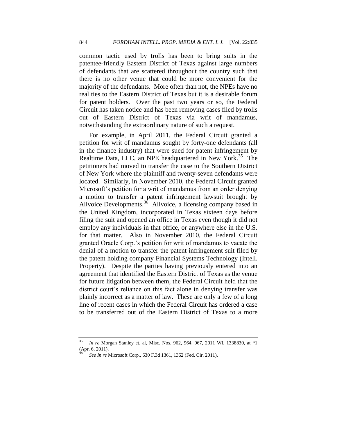common tactic used by trolls has been to bring suits in the patentee-friendly Eastern District of Texas against large numbers of defendants that are scattered throughout the country such that there is no other venue that could be more convenient for the majority of the defendants. More often than not, the NPEs have no real ties to the Eastern District of Texas but it is a desirable forum for patent holders. Over the past two years or so, the Federal Circuit has taken notice and has been removing cases filed by trolls out of Eastern District of Texas via writ of mandamus, notwithstanding the extraordinary nature of such a request.

For example, in April 2011, the Federal Circuit granted a petition for writ of mandamus sought by forty-one defendants (all in the finance industry) that were sued for patent infringement by Realtime Data, LLC, an NPE headquartered in New York.<sup>35</sup> The petitioners had moved to transfer the case to the Southern District of New York where the plaintiff and twenty-seven defendants were located. Similarly, in November 2010, the Federal Circuit granted Microsoft's petition for a writ of mandamus from an order denying a motion to transfer a patent infringement lawsuit brought by Allvoice Developments.<sup>36</sup> Allvoice, a licensing company based in the United Kingdom, incorporated in Texas sixteen days before filing the suit and opened an office in Texas even though it did not employ any individuals in that office, or anywhere else in the U.S. for that matter. Also in November 2010, the Federal Circuit granted Oracle Corp.'s petition for writ of mandamus to vacate the denial of a motion to transfer the patent infringement suit filed by the patent holding company Financial Systems Technology (Intell. Property). Despite the parties having previously entered into an agreement that identified the Eastern District of Texas as the venue for future litigation between them, the Federal Circuit held that the district court's reliance on this fact alone in denying transfer was plainly incorrect as a matter of law. These are only a few of a long line of recent cases in which the Federal Circuit has ordered a case to be transferred out of the Eastern District of Texas to a more

<sup>35</sup> *In re* Morgan Stanley et. al, Misc. Nos. 962, 964, 967, 2011 WL 1338830, at \*1 (Apr. 6, 2011).

<sup>36</sup> *See In re* Microsoft Corp., 630 F.3d 1361, 1362 (Fed. Cir. 2011).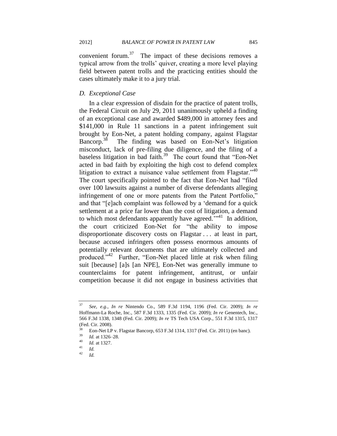convenient forum.<sup>37</sup> The impact of these decisions removes a typical arrow from the trolls' quiver, creating a more level playing field between patent trolls and the practicing entities should the cases ultimately make it to a jury trial.

#### *D. Exceptional Case*

In a clear expression of disdain for the practice of patent trolls, the Federal Circuit on July 29, 2011 unanimously upheld a finding of an exceptional case and awarded \$489,000 in attorney fees and \$141,000 in Rule 11 sanctions in a patent infringement suit brought by Eon-Net, a patent holding company, against Flagstar Bancorp.<sup>38</sup> The finding was based on Eon-Net's litigation misconduct, lack of pre-filing due diligence, and the filing of a baseless litigation in bad faith.<sup>39</sup> The court found that "Eon-Net acted in bad faith by exploiting the high cost to defend complex litigation to extract a nuisance value settlement from Flagstar."<sup>40</sup> The court specifically pointed to the fact that Eon-Net had "filed" over 100 lawsuits against a number of diverse defendants alleging infringement of one or more patents from the Patent Portfolio," and that "[e]ach complaint was followed by a 'demand for a quick settlement at a price far lower than the cost of litigation, a demand to which most defendants apparently have agreed. $\cdot^{3.41}$  In addition, the court criticized Eon-Net for "the ability to impose disproportionate discovery costs on Flagstar . . . at least in part, because accused infringers often possess enormous amounts of potentially relevant documents that are ultimately collected and produced."<sup>42</sup> Further, "Eon-Net placed little at risk when filing suit [because] [a]s [an NPE], Eon-Net was generally immune to counterclaims for patent infringement, antitrust, or unfair competition because it did not engage in business activities that

<sup>37</sup> *See, e.g.*, *In re* Nintendo Co., 589 F.3d 1194, 1196 (Fed. Cir. 2009); *In re*  Hoffmann-La Roche, Inc., 587 F.3d 1333, 1335 (Fed. Cir. 2009); *In re* Genentech, Inc., 566 F.3d 1338, 1348 (Fed. Cir. 2009); *In re* TS Tech USA Corp., 551 F.3d 1315, 1317 (Fed. Cir. 2008).

<sup>&</sup>lt;sup>38</sup> Eon-Net LP v. Flagstar Bancorp, 653 F.3d 1314, 1317 (Fed. Cir. 2011) (en banc).

 $\frac{39}{40}$  *Id.* at 1326–28.

 $\frac{40}{41}$  *Id.* at 1327.

 $\frac{41}{42}$  *Id.* 

*Id.*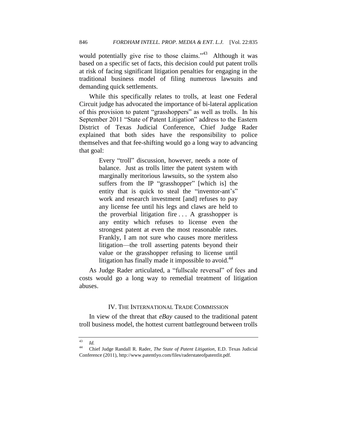would potentially give rise to those claims." $43$  Although it was based on a specific set of facts, this decision could put patent trolls at risk of facing significant litigation penalties for engaging in the traditional business model of filing numerous lawsuits and demanding quick settlements.

While this specifically relates to trolls, at least one Federal Circuit judge has advocated the importance of bi-lateral application of this provision to patent "grasshoppers" as well as trolls. In his September 2011 "State of Patent Litigation" address to the Eastern District of Texas Judicial Conference, Chief Judge Rader explained that both sides have the responsibility to police themselves and that fee-shifting would go a long way to advancing that goal:

> Every "troll" discussion, however, needs a note of balance. Just as trolls litter the patent system with marginally meritorious lawsuits, so the system also suffers from the IP "grasshopper" [which is] the entity that is quick to steal the "inventor-ant's" work and research investment [and] refuses to pay any license fee until his legs and claws are held to the proverbial litigation fire . . . A grasshopper is any entity which refuses to license even the strongest patent at even the most reasonable rates. Frankly, I am not sure who causes more meritless litigation—the troll asserting patents beyond their value or the grasshopper refusing to license until litigation has finally made it impossible to avoid. $44$

As Judge Rader articulated, a "fullscale reversal" of fees and costs would go a long way to remedial treatment of litigation abuses.

#### IV. THE INTERNATIONAL TRADE COMMISSION

In view of the threat that *eBay* caused to the traditional patent troll business model, the hottest current battleground between trolls

 $\frac{43}{44}$  *Id.* 

<sup>44</sup> Chief Judge Randall R. Rader, *The State of Patent Litigation*, E.D. Texas Judicial Conference (2011), http://www.patentlyo.com/files/raderstateofpatentlit.pdf.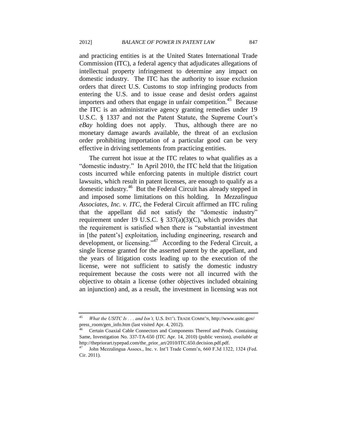and practicing entities is at the United States International Trade Commission (ITC), a federal agency that adjudicates allegations of intellectual property infringement to determine any impact on domestic industry. The ITC has the authority to issue exclusion orders that direct U.S. Customs to stop infringing products from entering the U.S. and to issue cease and desist orders against importers and others that engage in unfair competition.<sup>45</sup> Because the ITC is an administrative agency granting remedies under 19 U.S.C. § 1337 and not the Patent Statute, the Supreme Court's *eBay* holding does not apply. Thus, although there are no monetary damage awards available, the threat of an exclusion order prohibiting importation of a particular good can be very effective in driving settlements from practicing entities.

The current hot issue at the ITC relates to what qualifies as a "domestic industry." In April 2010, the ITC held that the litigation costs incurred while enforcing patents in multiple district court lawsuits, which result in patent licenses, are enough to qualify as a domestic industry.<sup>46</sup> But the Federal Circuit has already stepped in and imposed some limitations on this holding. In *Mezzalingua Associates, Inc. v. ITC*, the Federal Circuit affirmed an ITC ruling that the appellant did not satisfy the "domestic industry" requirement under 19 U.S.C.  $\S 337(a)(3)(C)$ , which provides that the requirement is satisfied when there is "substantial investment in [the patent's] exploitation, including engineering, research and development, or licensing." $47$  According to the Federal Circuit, a single license granted for the asserted patent by the appellant, and the years of litigation costs leading up to the execution of the license, were not sufficient to satisfy the domestic industry requirement because the costs were not all incurred with the objective to obtain a license (other objectives included obtaining an injunction) and, as a result, the investment in licensing was not

<sup>45</sup> *What the USITC Is . . . and Isn't,* U.S. INT'<sup>L</sup> TRADE COMM'N, http://www.usitc.gov/ press\_room/gen\_info.htm (last visited Apr. 4, 2012).

<sup>46</sup> Certain Coaxial Cable Connectors and Components Thereof and Prods. Containing Same, Investigation No. 337-TA-650 (ITC Apr. 14, 2010) (public version), *available at* http://thepriorart.typepad.com/the\_prior\_art/2010/ITC.650.decision.pdf.pdf.

<sup>47</sup> John Mezzalingua Assocs., Inc. v. Int'l Trade Comm'n, 660 F.3d 1322, 1324 (Fed. Cir. 2011).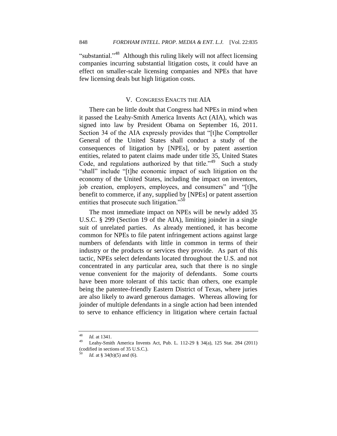"substantial."<sup>48</sup> Although this ruling likely will not affect licensing companies incurring substantial litigation costs, it could have an effect on smaller-scale licensing companies and NPEs that have few licensing deals but high litigation costs.

#### V. CONGRESS ENACTS THE AIA

There can be little doubt that Congress had NPEs in mind when it passed the Leahy-Smith America Invents Act (AIA), which was signed into law by President Obama on September 16, 2011. Section 34 of the AIA expressly provides that "[t]he Comptroller General of the United States shall conduct a study of the consequences of litigation by [NPEs], or by patent assertion entities, related to patent claims made under title 35, United States Code, and regulations authorized by that title." $49$  Such a study "shall" include "[t]he economic impact of such litigation on the economy of the United States, including the impact on inventors, job creation, employers, employees, and consumers" and "[t]he benefit to commerce, if any, supplied by [NPEs] or patent assertion entities that prosecute such litigation. $^{50}$ 

The most immediate impact on NPEs will be newly added 35 U.S.C. § 299 (Section 19 of the AIA), limiting joinder in a single suit of unrelated parties. As already mentioned, it has become common for NPEs to file patent infringement actions against large numbers of defendants with little in common in terms of their industry or the products or services they provide. As part of this tactic, NPEs select defendants located throughout the U.S. and not concentrated in any particular area, such that there is no single venue convenient for the majority of defendants. Some courts have been more tolerant of this tactic than others, one example being the patentee-friendly Eastern District of Texas, where juries are also likely to award generous damages. Whereas allowing for joinder of multiple defendants in a single action had been intended to serve to enhance efficiency in litigation where certain factual

 $\frac{48}{49}$  *Id.* at 1341.

Leahy-Smith America Invents Act, Pub. L. 112-29 § 34(a), 125 Stat. 284 (2011) (codified in sections of 35 U.S.C.).

*Id.* at § 34(b)(5) and (6).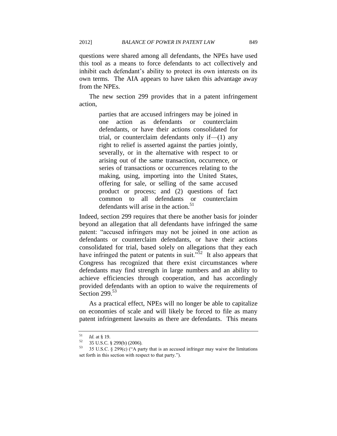questions were shared among all defendants, the NPEs have used this tool as a means to force defendants to act collectively and inhibit each defendant's ability to protect its own interests on its own terms. The AIA appears to have taken this advantage away from the NPEs.

The new section 299 provides that in a patent infringement action,

> parties that are accused infringers may be joined in one action as defendants or counterclaim defendants, or have their actions consolidated for trial, or counterclaim defendants only if— $(1)$  any right to relief is asserted against the parties jointly, severally, or in the alternative with respect to or arising out of the same transaction, occurrence, or series of transactions or occurrences relating to the making, using, importing into the United States, offering for sale, or selling of the same accused product or process; and (2) questions of fact common to all defendants or counterclaim defendants will arise in the action.<sup>51</sup>

Indeed, section 299 requires that there be another basis for joinder beyond an allegation that all defendants have infringed the same patent: "accused infringers may not be joined in one action as defendants or counterclaim defendants, or have their actions consolidated for trial, based solely on allegations that they each have infringed the patent or patents in suit.<sup>552</sup> It also appears that Congress has recognized that there exist circumstances where defendants may find strength in large numbers and an ability to achieve efficiencies through cooperation, and has accordingly provided defendants with an option to waive the requirements of Section  $299.53$ 

As a practical effect, NPEs will no longer be able to capitalize on economies of scale and will likely be forced to file as many patent infringement lawsuits as there are defendants. This means

 $\frac{51}{52}$  *Id.* at § 19.

 $^{52}$  35 U.S.C. § 299(b) (2006).<br> $^{53}$  35 U.S.C. § 200(c) ("A party

<sup>35</sup> U.S.C.  $\&$  299(c) ("A party that is an accused infringer may waive the limitations set forth in this section with respect to that party.").